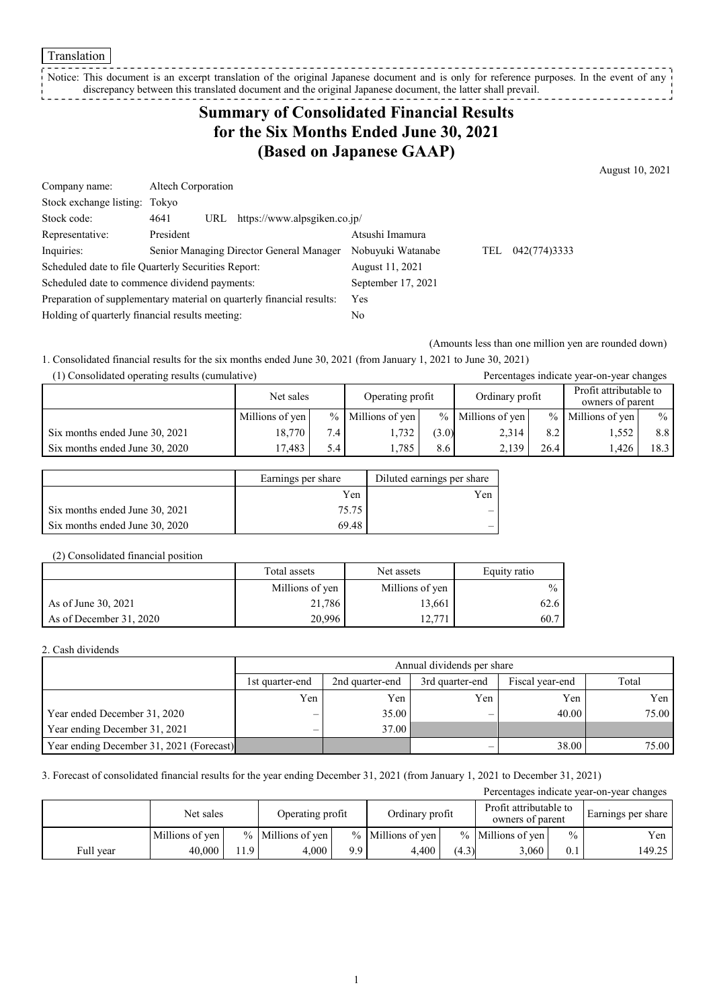Translation

Notice: This document is an excerpt translation of the original Japanese document and is only for reference purposes. In the event of any discrepancy between this translated document and the original Japanese document, the latter shall prevail. --------------

## **Summary of Consolidated Financial Results for the Six Months Ended June 30, 2021 (Based on Japanese GAAP)**

August 10, 2021

| Company name:                                                         | Altech Corporation |            |                                          |                    |     |              |  |
|-----------------------------------------------------------------------|--------------------|------------|------------------------------------------|--------------------|-----|--------------|--|
| Stock exchange listing: Tokyo                                         |                    |            |                                          |                    |     |              |  |
| Stock code:                                                           | 4641               | URL        | https://www.alpsgiken.co.jp/             |                    |     |              |  |
| Representative:                                                       | President          |            |                                          | Atsushi Imamura    |     |              |  |
| Inquiries:                                                            |                    |            | Senior Managing Director General Manager | Nobuyuki Watanabe  | TEL | 042(774)3333 |  |
| Scheduled date to file Quarterly Securities Report:                   |                    |            |                                          | August 11, 2021    |     |              |  |
| Scheduled date to commence dividend payments:                         |                    |            |                                          | September 17, 2021 |     |              |  |
| Preparation of supplementary material on quarterly financial results: |                    | <b>Yes</b> |                                          |                    |     |              |  |
| Holding of quarterly financial results meeting:                       |                    | No         |                                          |                    |     |              |  |

(Amounts less than one million yen are rounded down)

1. Consolidated financial results for the six months ended June 30, 2021 (from January 1, 2021 to June 30, 2021)

| (1) Consolidated operating results (cumulative) |                 |     |                     |       |                     |               | Percentages indicate year-on-year changes  |      |
|-------------------------------------------------|-----------------|-----|---------------------|-------|---------------------|---------------|--------------------------------------------|------|
|                                                 | Net sales       |     | Operating profit    |       | Ordinary profit     |               | Profit attributable to<br>owners of parent |      |
|                                                 | Millions of yen |     | $%$ Millions of yen |       | $%$ Millions of yen | $\frac{0}{0}$ | Millions of yen                            | $\%$ |
| Six months ended June 30, 2021                  | 18,770          | 7.4 | 1.732               | (3.0) | 2.314               | 8.2           | 1.552                                      | 8.8  |
| Six months ended June 30, 2020                  | 17.483          | 5.4 | 1.785               | 8.6   | 2.139               | 26.4          | 1.426                                      | 18.3 |

|                                | Earnings per share | Diluted earnings per share |
|--------------------------------|--------------------|----------------------------|
|                                | Yen                | Yen                        |
| Six months ended June 30, 2021 | 75.75              |                            |
| Six months ended June 30, 2020 | 69.48              |                            |

#### (2) Consolidated financial position

|                         | Total assets    | Net assets      |      |
|-------------------------|-----------------|-----------------|------|
|                         | Millions of yen | Millions of yen | $\%$ |
| As of June 30, 2021     | 21,786          | 13,661          | 62.6 |
| As of December 31, 2020 | 20,996          | 12.771          | 60.7 |

### 2. Cash dividends

|                                          |                 | Annual dividends per share                                     |     |       |       |  |  |  |
|------------------------------------------|-----------------|----------------------------------------------------------------|-----|-------|-------|--|--|--|
|                                          | 1st quarter-end | Total<br>Fiscal year-end<br>2nd quarter-end<br>3rd quarter-end |     |       |       |  |  |  |
|                                          | Yen             | Yen                                                            | Yen | Yen   | Yen   |  |  |  |
| Year ended December 31, 2020             | –               | 35.00                                                          |     | 40.00 | 75.00 |  |  |  |
| Year ending December 31, 2021            | –               | 37.00                                                          |     |       |       |  |  |  |
| Year ending December 31, 2021 (Forecast) |                 |                                                                |     | 38.00 | 75.00 |  |  |  |

### 3. Forecast of consolidated financial results for the year ending December 31, 2021 (from January 1, 2021 to December 31, 2021)

| Percentages indicate year-on-year changes |                 |     |                     |     |                     |       |                                            |               |                    |
|-------------------------------------------|-----------------|-----|---------------------|-----|---------------------|-------|--------------------------------------------|---------------|--------------------|
|                                           | Net sales       |     | Operating profit    |     | Ordinary profit     |       | Profit attributable to<br>owners of parent |               | Earnings per share |
|                                           | Millions of ven |     | $%$ Millions of ven |     | $%$ Millions of ven |       | $%$ Millions of ven                        | $\frac{0}{0}$ | Yen                |
| Full year                                 | 40,000          | 1.9 | 4.000               | 9.9 | 4.400               | (4.3) | 3,060                                      | 0.1           | 149.25             |

1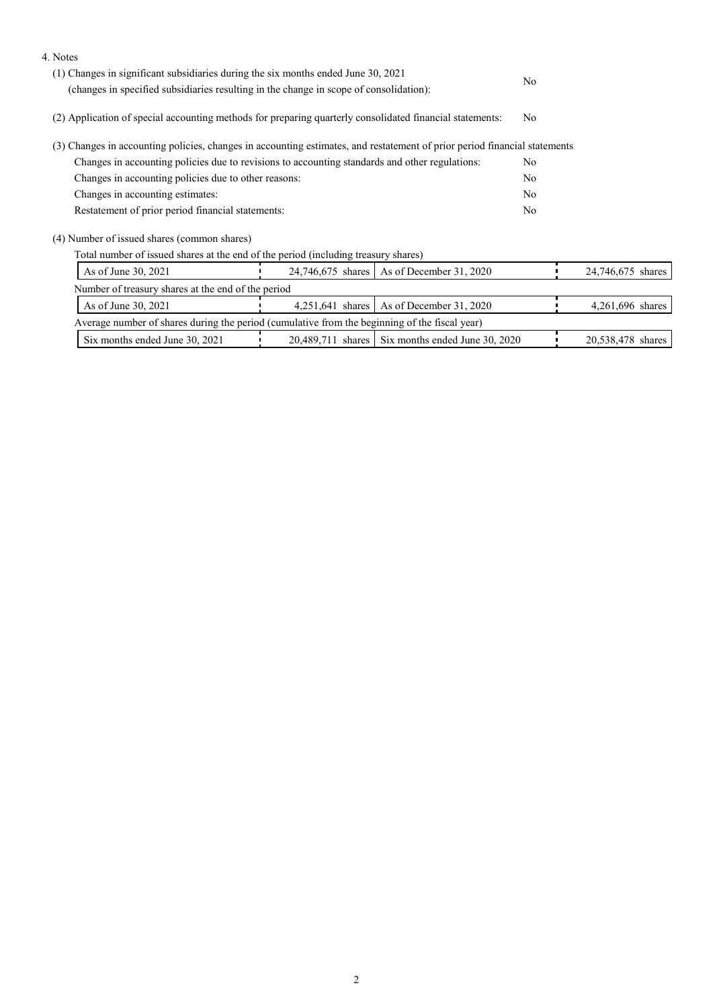| 4. Notes                                                                                                                  |                  |                                                  |     |                   |
|---------------------------------------------------------------------------------------------------------------------------|------------------|--------------------------------------------------|-----|-------------------|
| (1) Changes in significant subsidiaries during the six months ended June 30, 2021                                         |                  |                                                  |     |                   |
| (changes in specified subsidiaries resulting in the change in scope of consolidation):                                    | No.              |                                                  |     |                   |
| (2) Application of special accounting methods for preparing quarterly consolidated financial statements:                  | N <sub>o</sub>   |                                                  |     |                   |
| (3) Changes in accounting policies, changes in accounting estimates, and restatement of prior period financial statements |                  |                                                  |     |                   |
| Changes in accounting policies due to revisions to accounting standards and other regulations:                            |                  | No.                                              |     |                   |
| Changes in accounting policies due to other reasons:                                                                      |                  |                                                  |     |                   |
| Changes in accounting estimates:                                                                                          |                  |                                                  |     |                   |
| Restatement of prior period financial statements:                                                                         |                  |                                                  | No. |                   |
| (4) Number of issued shares (common shares)                                                                               |                  |                                                  |     |                   |
| Total number of issued shares at the end of the period (including treasury shares)                                        |                  |                                                  |     |                   |
| As of June 30, 2021                                                                                                       |                  | 24,746,675 shares   As of December 31, 2020      |     | 24,746,675 shares |
| Number of treasury shares at the end of the period                                                                        |                  |                                                  |     |                   |
| As of June 30, 2021                                                                                                       | 4,251,641 shares | As of December 31, 2020                          |     | 4,261,696 shares  |
| Average number of shares during the period (cumulative from the beginning of the fiscal year)                             |                  |                                                  |     |                   |
| Six months ended June 30, 2021                                                                                            |                  | 20,489,711 shares Six months ended June 30, 2020 |     | 20,538,478 shares |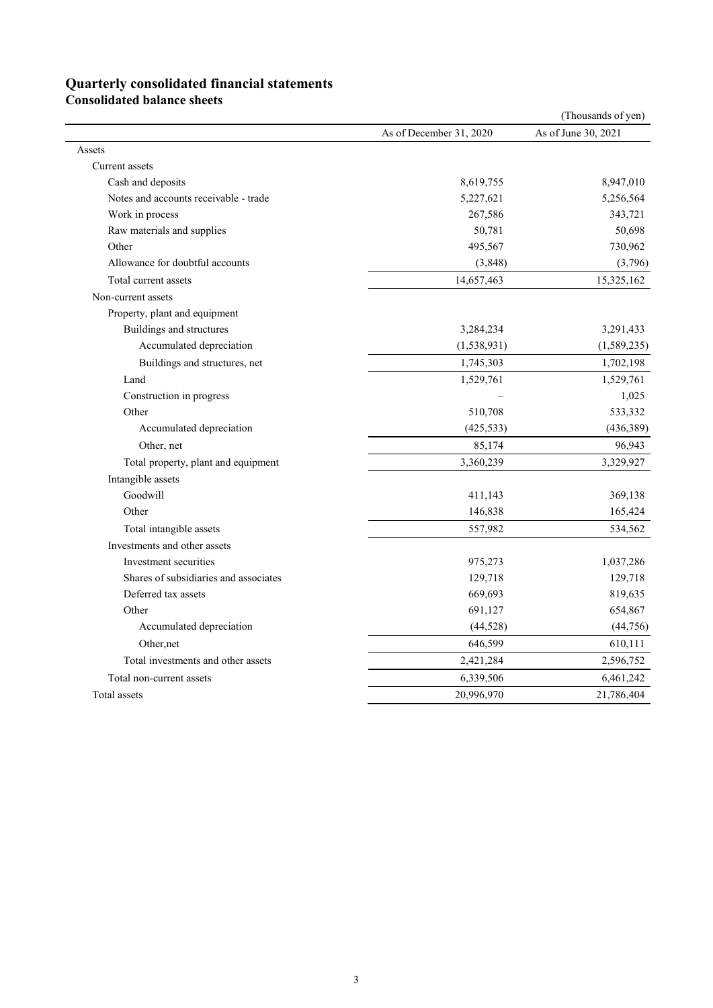# **Quarterly consolidated financial statements**

**Consolidated balance sheets** 

|                                       |                         | (Thousands of yen)  |
|---------------------------------------|-------------------------|---------------------|
|                                       | As of December 31, 2020 | As of June 30, 2021 |
| Assets                                |                         |                     |
| Current assets                        |                         |                     |
| Cash and deposits                     | 8,619,755               | 8,947,010           |
| Notes and accounts receivable - trade | 5,227,621               | 5,256,564           |
| Work in process                       | 267,586                 | 343,721             |
| Raw materials and supplies            | 50,781                  | 50,698              |
| Other                                 | 495,567                 | 730,962             |
| Allowance for doubtful accounts       | (3,848)                 | (3,796)             |
| Total current assets                  | 14,657,463              | 15,325,162          |
| Non-current assets                    |                         |                     |
| Property, plant and equipment         |                         |                     |
| Buildings and structures              | 3,284,234               | 3,291,433           |
| Accumulated depreciation              | (1, 538, 931)           | (1,589,235)         |
| Buildings and structures, net         | 1,745,303               | 1,702,198           |
| Land                                  | 1,529,761               | 1,529,761           |
| Construction in progress              |                         | 1,025               |
| Other                                 | 510,708                 | 533,332             |
| Accumulated depreciation              | (425, 533)              | (436, 389)          |
| Other, net                            | 85,174                  | 96,943              |
| Total property, plant and equipment   | 3,360,239               | 3,329,927           |
| Intangible assets                     |                         |                     |
| Goodwill                              | 411,143                 | 369,138             |
| Other                                 | 146,838                 | 165,424             |
| Total intangible assets               | 557,982                 | 534,562             |
| Investments and other assets          |                         |                     |
| Investment securities                 | 975,273                 | 1,037,286           |
| Shares of subsidiaries and associates | 129,718                 | 129,718             |
| Deferred tax assets                   | 669,693                 | 819,635             |
| Other                                 | 691,127                 | 654,867             |
| Accumulated depreciation              | (44,528)                | (44, 756)           |
| Other, net                            | 646,599                 | 610,111             |
| Total investments and other assets    | 2,421,284               | 2,596,752           |
| Total non-current assets              | 6,339,506               | 6,461,242           |
| Total assets                          | 20,996,970              | 21,786,404          |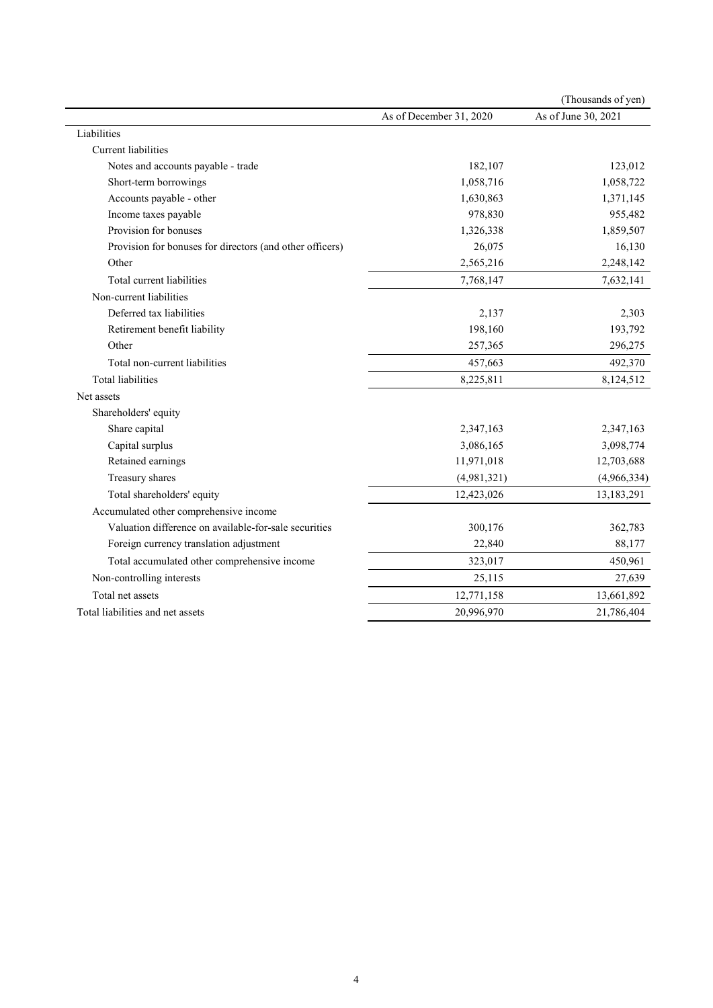|                                                          |                         | (Thousands of yen)  |
|----------------------------------------------------------|-------------------------|---------------------|
|                                                          | As of December 31, 2020 | As of June 30, 2021 |
| Liabilities                                              |                         |                     |
| <b>Current</b> liabilities                               |                         |                     |
| Notes and accounts payable - trade                       | 182,107                 | 123,012             |
| Short-term borrowings                                    | 1,058,716               | 1,058,722           |
| Accounts payable - other                                 | 1,630,863               | 1,371,145           |
| Income taxes payable                                     | 978,830                 | 955,482             |
| Provision for bonuses                                    | 1,326,338               | 1,859,507           |
| Provision for bonuses for directors (and other officers) | 26,075                  | 16,130              |
| Other                                                    | 2,565,216               | 2,248,142           |
| Total current liabilities                                | 7,768,147               | 7,632,141           |
| Non-current liabilities                                  |                         |                     |
| Deferred tax liabilities                                 | 2,137                   | 2,303               |
| Retirement benefit liability                             | 198,160                 | 193,792             |
| Other                                                    | 257,365                 | 296,275             |
| Total non-current liabilities                            | 457,663                 | 492,370             |
| <b>Total liabilities</b>                                 | 8,225,811               | 8,124,512           |
| Net assets                                               |                         |                     |
| Shareholders' equity                                     |                         |                     |
| Share capital                                            | 2,347,163               | 2,347,163           |
| Capital surplus                                          | 3,086,165               | 3,098,774           |
| Retained earnings                                        | 11,971,018              | 12,703,688          |
| Treasury shares                                          | (4,981,321)             | (4,966,334)         |
| Total shareholders' equity                               | 12,423,026              | 13,183,291          |
| Accumulated other comprehensive income                   |                         |                     |
| Valuation difference on available-for-sale securities    | 300,176                 | 362,783             |
| Foreign currency translation adjustment                  | 22,840                  | 88,177              |
| Total accumulated other comprehensive income             | 323,017                 | 450,961             |
| Non-controlling interests                                | 25,115                  | 27,639              |
| Total net assets                                         | 12,771,158              | 13,661,892          |
| Total liabilities and net assets                         | 20,996,970              | 21,786,404          |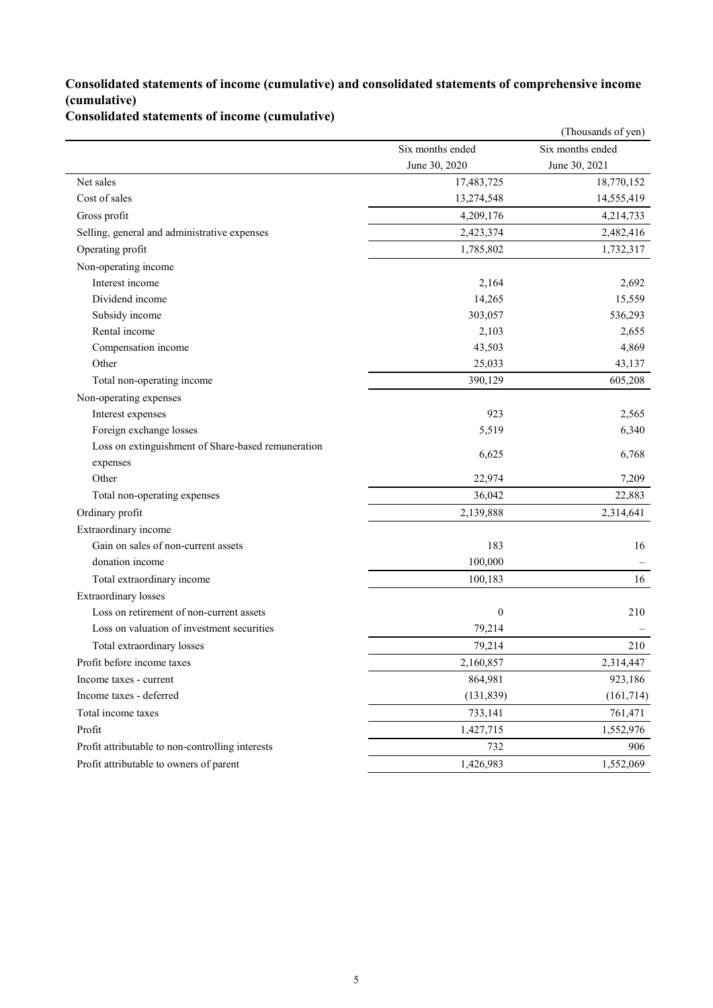### **Consolidated statements of income (cumulative) and consolidated statements of comprehensive income (cumulative)**

**Consolidated statements of income (cumulative)**

|                                                    |                  | (Thousands of yen) |
|----------------------------------------------------|------------------|--------------------|
|                                                    | Six months ended | Six months ended   |
|                                                    | June 30, 2020    | June 30, 2021      |
| Net sales                                          | 17,483,725       | 18,770,152         |
| Cost of sales                                      | 13,274,548       | 14,555,419         |
| Gross profit                                       | 4,209,176        | 4,214,733          |
| Selling, general and administrative expenses       | 2,423,374        | 2,482,416          |
| Operating profit                                   | 1,785,802        | 1,732,317          |
| Non-operating income                               |                  |                    |
| Interest income                                    | 2,164            | 2,692              |
| Dividend income                                    | 14,265           | 15,559             |
| Subsidy income                                     | 303,057          | 536,293            |
| Rental income                                      | 2,103            | 2,655              |
| Compensation income                                | 43,503           | 4,869              |
| Other                                              | 25,033           | 43,137             |
| Total non-operating income                         | 390,129          | 605,208            |
| Non-operating expenses                             |                  |                    |
| Interest expenses                                  | 923              | 2,565              |
| Foreign exchange losses                            | 5,519            | 6,340              |
| Loss on extinguishment of Share-based remuneration | 6,625            | 6,768              |
| expenses                                           |                  |                    |
| Other                                              | 22,974           | 7,209              |
| Total non-operating expenses                       | 36,042           | 22,883             |
| Ordinary profit                                    | 2,139,888        | 2,314,641          |
| Extraordinary income                               |                  |                    |
| Gain on sales of non-current assets                | 183              | 16                 |
| donation income                                    | 100,000          |                    |
| Total extraordinary income                         | 100,183          | 16                 |
| Extraordinary losses                               |                  |                    |
| Loss on retirement of non-current assets           | $\boldsymbol{0}$ | 210                |
| Loss on valuation of investment securities         | 79,214           |                    |
| Total extraordinary losses                         | 79,214           | 210                |
| Profit before income taxes                         | 2,160,857        | 2,314,447          |
| Income taxes - current                             | 864,981          | 923,186            |
| Income taxes - deferred                            | (131, 839)       | (161, 714)         |
| Total income taxes                                 | 733,141          | 761,471            |
| Profit                                             | 1,427,715        | 1,552,976          |
| Profit attributable to non-controlling interests   | 732              | 906                |
| Profit attributable to owners of parent            | 1,426,983        | 1,552,069          |